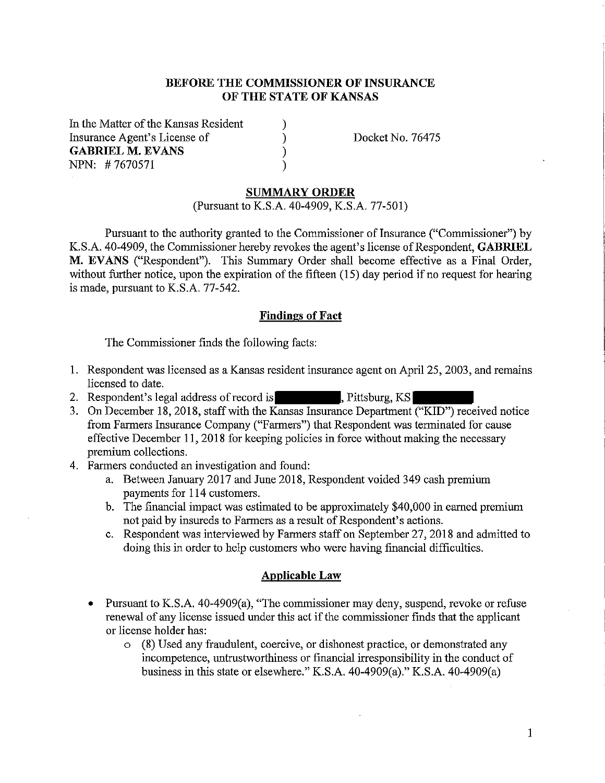## **BEFORE THE COMMISSIONER OF INSURANCE OF THE STATE OF KANSAS**

) ) ) )

In the Matter of the Kansas Resident Insurance Agent's License of **GABRIEL M. EVANS** NPN: # 7670571

Docket No. 76475

#### **SUMMARY ORDER**

(Pursuant to K.S.A. 40-4909, K.S.A. 77-501)

Pursuant to the authority granted to the Commissioner of Insurance ("Commissioner") by K.S.A. 40-4909, the Commissioner hereby revokes the agent's license of Respondent, **GABRIEL M. EV ANS** ("Respondent"). This Summary Order shall become effective as a Final Order, without further notice, upon the expiration of the fifteen (15) day period if no request for hearing is made, pursuant to K.S.A. 77-542.

## **Findings of Fact**

The Commissioner finds the following facts:

- I. Respondent was licensed as a Kansas resident insurance agent on April 25, 2003, and remains licensed to date.
- 2. Respondent's legal address of record is , Pittsburg, KS
- 3. On December 18, 2018, staff with the Kansas Insurance Department ("KID") received notice from Farmers Insurance Company ("Farmers") that Respondent was terminated for cause effective December 11, 2018 for keeping policies in force without making the necessary premium collections.
- 4. Farmers conducted an investigation and found:
	- a. Between January 2017 and June 2018, Respondent voided 349 cash premium payments for 114 customers.
	- b. The financial impact was estimated to be approximately \$40,000 in earned premium not paid by insureds to Farmers as a result of Respondent's actions.
	- c. Respondent was interviewed by Farmers staff on September 27, 2018 and admitted to doing this in order to help customers who were having financial difficulties.

#### **Applicable Law**

- Pursuant to K.S.A. 40-4909(a), "The commissioner may deny, suspend, revoke or refuse renewal of any license issued under this act if the commissioner finds that the applicant or license holder has:
	- o (8) Used any fraudulent, coercive, or dishonest practice, or demonstrated any incompetence, untrustworthiness or financial irresponsibility in the conduct of business in this state or elsewhere." K.S.A. 40-4909(a)." K.S.A. 40-4909(a)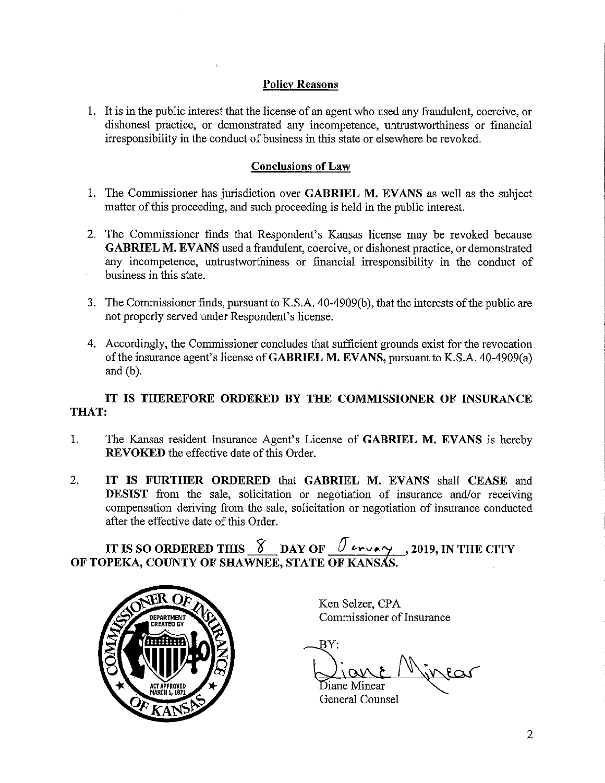## **Policy Reasons**

I. It is in the public interest that the license of an agent who used any fraudulent, coercive, or dishonest practice, or demonstrated any incompetence, untrustworthiness or financial inesponsibility in the conduct of business in this state or elsewhere be revoked.

## **Conclusions of Law**

- I. The Commissioner has jurisdiction over **GABRIEL M. EV ANS** as well as the subject matter of this proceeding, and such proceeding is held in the public interest.
- 2. The Commissioner finds that Respondent's Kansas license may be revoked because **GABRIEL M. EV ANS** used a fraudulent, coercive, or dishonest practice, or demonstrated any incompetence, untrustworthiness or financial irresponsibility in the conduct of business in this state.
- 3. The Commissioner finds, pursuant to K.S.A. 40-4909(b ), that the interests of the public are not properly served under Respondent's license.
- 4. Accordingly, the Commissioner concludes that sufficient grounds exist for the revocation of the insurance agent's license of **GABRIEL M. EVANS,** pursuant to K.S.A. 40-4909(a) and (b).

# **IT IS THEREFORE ORDERED BY THE COMMISSIONER OF INSURANCE THAT:**

- I. The Kansas resident Insurance Agent's License of **GABRIEL M. EVANS** is hereby **REVOKED** the effective date of this Order.
- 2. **IT IS FURTHER ORDERED** that **GABRIEL M. EVANS** shall **CEASE** and **DESIST** from the sale, solicitation or negotiation of insurance and/or receiving compensation deriving from the sale, solicitation or negotiation of insurance conducted after the effective date of this Order.

IT IS SO ORDERED THIS  $\frac{8}{\sqrt{2}}$  DAY OF  $\frac{1}{\sqrt{2}}$  and  $\frac{1}{\sqrt{2}}$  , 2019, IN THE CITY OF TOPEKA, COUNTY OF SHAWNEE, STATE OF KANSAS.



Ken Selzer, CPA Commissioner of Insurance

BY:  $\psi$ lear Diane Minear

General Counsel